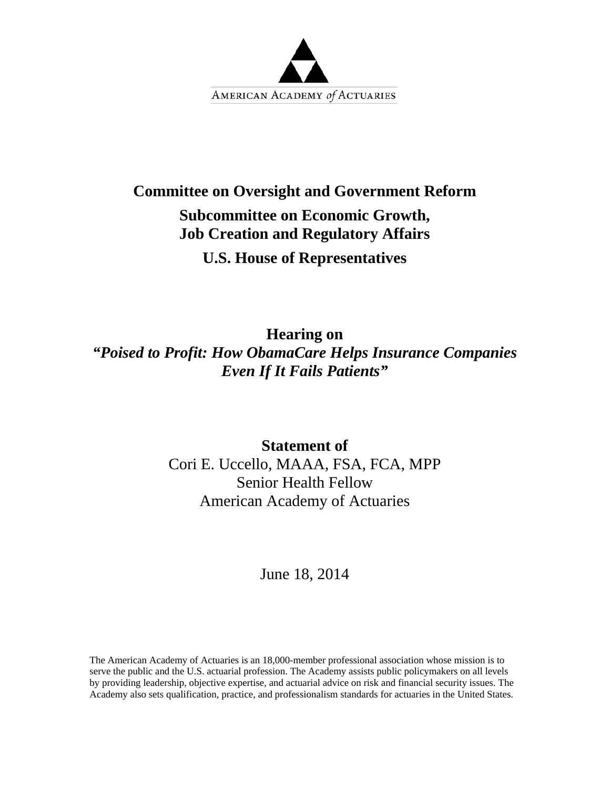

## **Committee on Oversight and Government Reform**

# **Subcommittee on Economic Growth, Job Creation and Regulatory Affairs**

**U.S. House of Representatives** 

**Hearing on** 

*"Poised to Profit: How ObamaCare Helps Insurance Companies Even If It Fails Patients"* 

> **Statement of**  Cori E. Uccello, MAAA, FSA, FCA, MPP Senior Health Fellow American Academy of Actuaries

> > June 18, 2014

The American Academy of Actuaries is an 18,000-member professional association whose mission is to serve the public and the U.S. actuarial profession. The Academy assists public policymakers on all levels by providing leadership, objective expertise, and actuarial advice on risk and financial security issues. The Academy also sets qualification, practice, and professionalism standards for actuaries in the United States.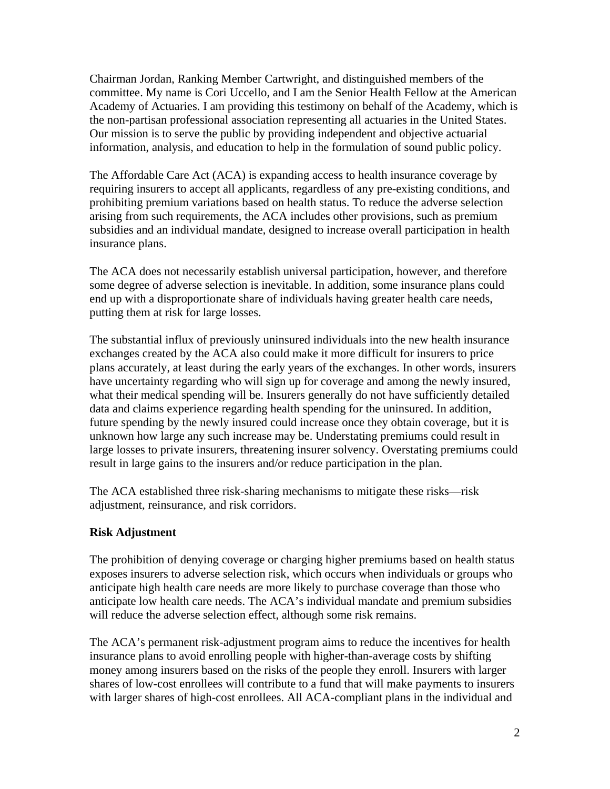Chairman Jordan, Ranking Member Cartwright, and distinguished members of the committee. My name is Cori Uccello, and I am the Senior Health Fellow at the American Academy of Actuaries. I am providing this testimony on behalf of the Academy, which is the non-partisan professional association representing all actuaries in the United States. Our mission is to serve the public by providing independent and objective actuarial information, analysis, and education to help in the formulation of sound public policy.

The Affordable Care Act (ACA) is expanding access to health insurance coverage by requiring insurers to accept all applicants, regardless of any pre-existing conditions, and prohibiting premium variations based on health status. To reduce the adverse selection arising from such requirements, the ACA includes other provisions, such as premium subsidies and an individual mandate, designed to increase overall participation in health insurance plans.

The ACA does not necessarily establish universal participation, however, and therefore some degree of adverse selection is inevitable. In addition, some insurance plans could end up with a disproportionate share of individuals having greater health care needs, putting them at risk for large losses.

The substantial influx of previously uninsured individuals into the new health insurance exchanges created by the ACA also could make it more difficult for insurers to price plans accurately, at least during the early years of the exchanges. In other words, insurers have uncertainty regarding who will sign up for coverage and among the newly insured, what their medical spending will be. Insurers generally do not have sufficiently detailed data and claims experience regarding health spending for the uninsured. In addition, future spending by the newly insured could increase once they obtain coverage, but it is unknown how large any such increase may be. Understating premiums could result in large losses to private insurers, threatening insurer solvency. Overstating premiums could result in large gains to the insurers and/or reduce participation in the plan.

The ACA established three risk-sharing mechanisms to mitigate these risks—risk adjustment, reinsurance, and risk corridors.

### **Risk Adjustment**

The prohibition of denying coverage or charging higher premiums based on health status exposes insurers to adverse selection risk, which occurs when individuals or groups who anticipate high health care needs are more likely to purchase coverage than those who anticipate low health care needs. The ACA's individual mandate and premium subsidies will reduce the adverse selection effect, although some risk remains.

The ACA's permanent risk-adjustment program aims to reduce the incentives for health insurance plans to avoid enrolling people with higher-than-average costs by shifting money among insurers based on the risks of the people they enroll. Insurers with larger shares of low-cost enrollees will contribute to a fund that will make payments to insurers with larger shares of high-cost enrollees. All ACA-compliant plans in the individual and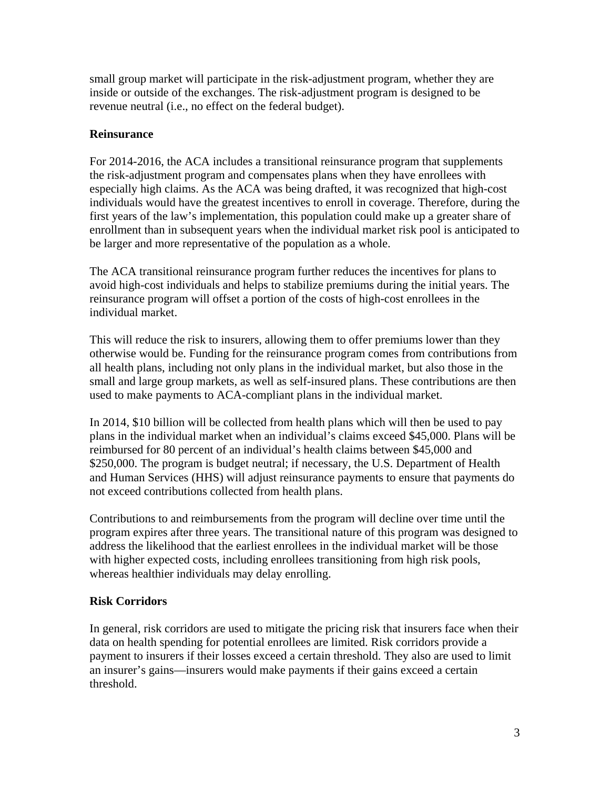small group market will participate in the risk-adjustment program, whether they are inside or outside of the exchanges. The risk-adjustment program is designed to be revenue neutral (i.e., no effect on the federal budget).

### **Reinsurance**

For 2014-2016, the ACA includes a transitional reinsurance program that supplements the risk-adjustment program and compensates plans when they have enrollees with especially high claims. As the ACA was being drafted, it was recognized that high-cost individuals would have the greatest incentives to enroll in coverage. Therefore, during the first years of the law's implementation, this population could make up a greater share of enrollment than in subsequent years when the individual market risk pool is anticipated to be larger and more representative of the population as a whole.

The ACA transitional reinsurance program further reduces the incentives for plans to avoid high-cost individuals and helps to stabilize premiums during the initial years. The reinsurance program will offset a portion of the costs of high-cost enrollees in the individual market.

This will reduce the risk to insurers, allowing them to offer premiums lower than they otherwise would be. Funding for the reinsurance program comes from contributions from all health plans, including not only plans in the individual market, but also those in the small and large group markets, as well as self-insured plans. These contributions are then used to make payments to ACA-compliant plans in the individual market.

In 2014, \$10 billion will be collected from health plans which will then be used to pay plans in the individual market when an individual's claims exceed \$45,000. Plans will be reimbursed for 80 percent of an individual's health claims between \$45,000 and \$250,000. The program is budget neutral; if necessary, the U.S. Department of Health and Human Services (HHS) will adjust reinsurance payments to ensure that payments do not exceed contributions collected from health plans.

Contributions to and reimbursements from the program will decline over time until the program expires after three years. The transitional nature of this program was designed to address the likelihood that the earliest enrollees in the individual market will be those with higher expected costs, including enrollees transitioning from high risk pools, whereas healthier individuals may delay enrolling.

### **Risk Corridors**

In general, risk corridors are used to mitigate the pricing risk that insurers face when their data on health spending for potential enrollees are limited. Risk corridors provide a payment to insurers if their losses exceed a certain threshold. They also are used to limit an insurer's gains—insurers would make payments if their gains exceed a certain threshold.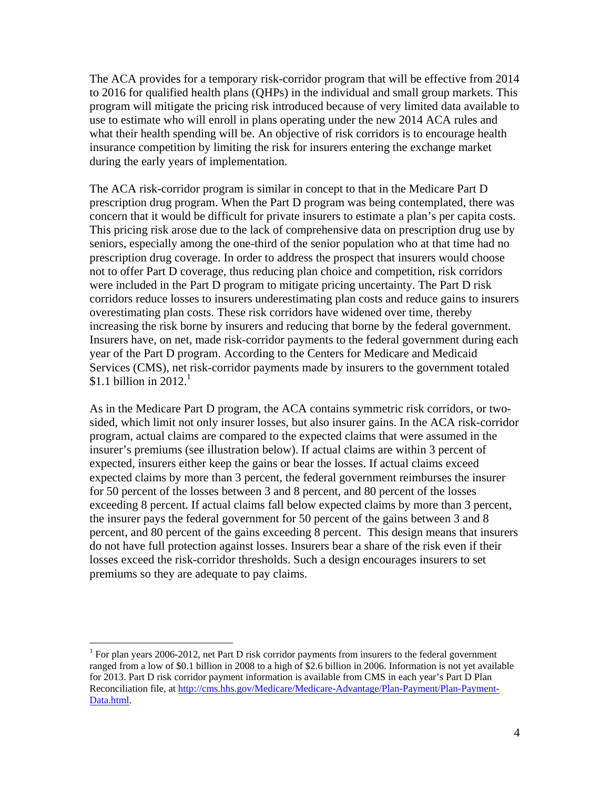The ACA provides for a temporary risk-corridor program that will be effective from 2014 to 2016 for qualified health plans (QHPs) in the individual and small group markets. This program will mitigate the pricing risk introduced because of very limited data available to use to estimate who will enroll in plans operating under the new 2014 ACA rules and what their health spending will be. An objective of risk corridors is to encourage health insurance competition by limiting the risk for insurers entering the exchange market during the early years of implementation.

The ACA risk-corridor program is similar in concept to that in the Medicare Part D prescription drug program. When the Part D program was being contemplated, there was concern that it would be difficult for private insurers to estimate a plan's per capita costs. This pricing risk arose due to the lack of comprehensive data on prescription drug use by seniors, especially among the one-third of the senior population who at that time had no prescription drug coverage. In order to address the prospect that insurers would choose not to offer Part D coverage, thus reducing plan choice and competition, risk corridors were included in the Part D program to mitigate pricing uncertainty. The Part D risk corridors reduce losses to insurers underestimating plan costs and reduce gains to insurers overestimating plan costs. These risk corridors have widened over time, thereby increasing the risk borne by insurers and reducing that borne by the federal government. Insurers have, on net, made risk-corridor payments to the federal government during each year of the Part D program. According to the Centers for Medicare and Medicaid Services (CMS), net risk-corridor payments made by insurers to the government totaled \$1.1 billion in 2012. $^1$ 

As in the Medicare Part D program, the ACA contains symmetric risk corridors, or twosided, which limit not only insurer losses, but also insurer gains. In the ACA risk-corridor program, actual claims are compared to the expected claims that were assumed in the insurer's premiums (see illustration below). If actual claims are within 3 percent of expected, insurers either keep the gains or bear the losses. If actual claims exceed expected claims by more than 3 percent, the federal government reimburses the insurer for 50 percent of the losses between 3 and 8 percent, and 80 percent of the losses exceeding 8 percent. If actual claims fall below expected claims by more than 3 percent, the insurer pays the federal government for 50 percent of the gains between 3 and 8 percent, and 80 percent of the gains exceeding 8 percent. This design means that insurers do not have full protection against losses. Insurers bear a share of the risk even if their losses exceed the risk-corridor thresholds. Such a design encourages insurers to set premiums so they are adequate to pay claims.

 $\overline{a}$ 

<sup>&</sup>lt;sup>1</sup> For plan years 2006-2012, net Part D risk corridor payments from insurers to the federal government ranged from a low of \$0.1 billion in 2008 to a high of \$2.6 billion in 2006. Information is not yet available for 2013. Part D risk corridor payment information is available from CMS in each year's Part D Plan Reconciliation file, at http://cms.hhs.gov/Medicare/Medicare-Advantage/Plan-Payment/Plan-Payment-Data.html.